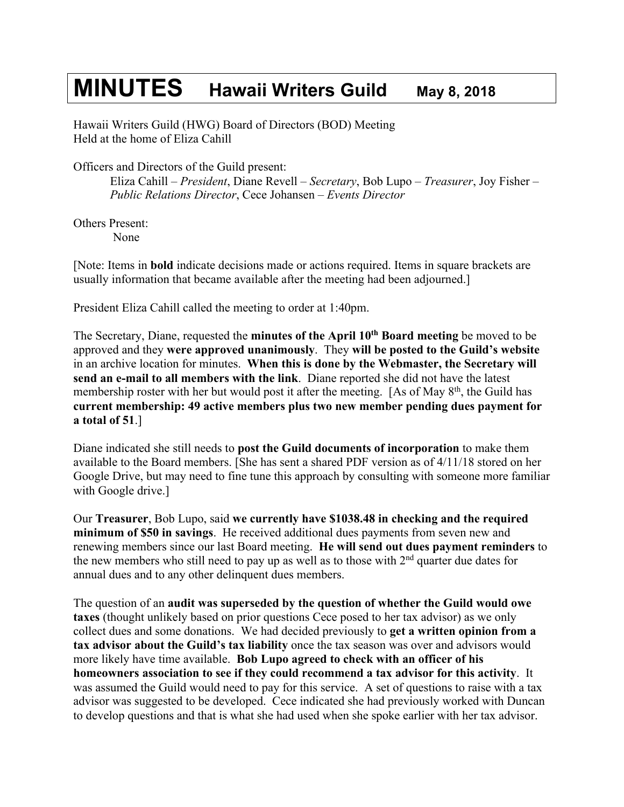## **MINUTES Hawaii Writers Guild May 8, <sup>2018</sup>**

Hawaii Writers Guild (HWG) Board of Directors (BOD) Meeting Held at the home of Eliza Cahill

Officers and Directors of the Guild present:

Eliza Cahill – *President*, Diane Revell – *Secretary*, Bob Lupo – *Treasurer*, Joy Fisher – *Public Relations Director*, Cece Johansen – *Events Director*

Others Present: None

[Note: Items in **bold** indicate decisions made or actions required. Items in square brackets are usually information that became available after the meeting had been adjourned.]

President Eliza Cahill called the meeting to order at 1:40pm.

The Secretary, Diane, requested the **minutes of the April 10th Board meeting** be moved to be approved and they **were approved unanimously**. They **will be posted to the Guild's website** in an archive location for minutes. **When this is done by the Webmaster, the Secretary will send an e-mail to all members with the link**. Diane reported she did not have the latest membership roster with her but would post it after the meeting. [As of May  $8<sup>th</sup>$ , the Guild has **current membership: 49 active members plus two new member pending dues payment for a total of 51**.]

Diane indicated she still needs to **post the Guild documents of incorporation** to make them available to the Board members. [She has sent a shared PDF version as of 4/11/18 stored on her Google Drive, but may need to fine tune this approach by consulting with someone more familiar with Google drive.]

Our **Treasurer**, Bob Lupo, said **we currently have \$1038.48 in checking and the required minimum of \$50 in savings**. He received additional dues payments from seven new and renewing members since our last Board meeting. **He will send out dues payment reminders** to the new members who still need to pay up as well as to those with  $2<sup>nd</sup>$  quarter due dates for annual dues and to any other delinquent dues members.

The question of an **audit was superseded by the question of whether the Guild would owe taxes** (thought unlikely based on prior questions Cece posed to her tax advisor) as we only collect dues and some donations. We had decided previously to **get a written opinion from a tax advisor about the Guild's tax liability** once the tax season was over and advisors would more likely have time available. **Bob Lupo agreed to check with an officer of his homeowners association to see if they could recommend a tax advisor for this activity**. It was assumed the Guild would need to pay for this service. A set of questions to raise with a tax advisor was suggested to be developed. Cece indicated she had previously worked with Duncan to develop questions and that is what she had used when she spoke earlier with her tax advisor.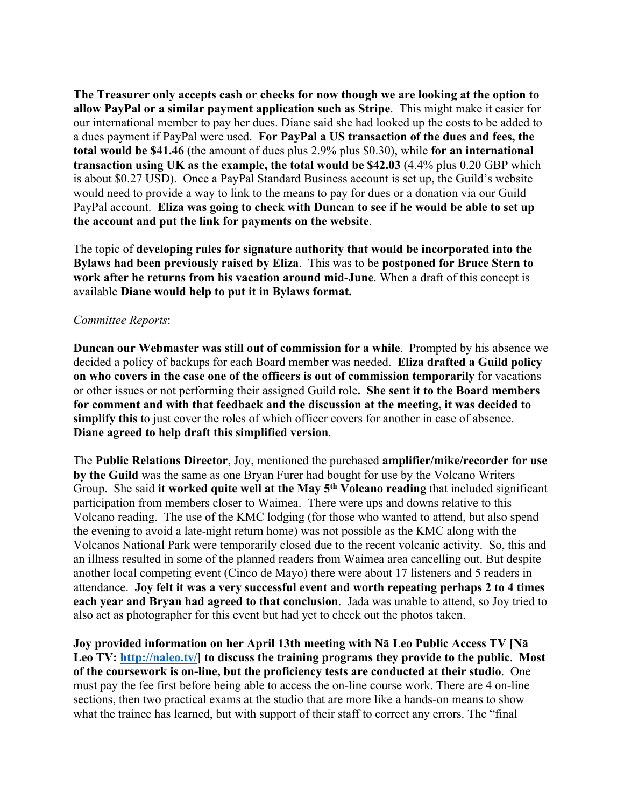**The Treasurer only accepts cash or checks for now though we are looking at the option to allow PayPal or a similar payment application such as Stripe**. This might make it easier for our international member to pay her dues. Diane said she had looked up the costs to be added to a dues payment if PayPal were used. **For PayPal a US transaction of the dues and fees, the total would be \$41.46** (the amount of dues plus 2.9% plus \$0.30), while **for an international transaction using UK as the example, the total would be \$42.03** (4.4% plus 0.20 GBP which is about \$0.27 USD). Once a PayPal Standard Business account is set up, the Guild's website would need to provide a way to link to the means to pay for dues or a donation via our Guild PayPal account. **Eliza was going to check with Duncan to see if he would be able to set up the account and put the link for payments on the website**.

The topic of **developing rules for signature authority that would be incorporated into the Bylaws had been previously raised by Eliza**. This was to be **postponed for Bruce Stern to work after he returns from his vacation around mid-June**. When a draft of this concept is available **Diane would help to put it in Bylaws format.**

## *Committee Reports*:

**Duncan our Webmaster was still out of commission for a while**. Prompted by his absence we decided a policy of backups for each Board member was needed. **Eliza drafted a Guild policy on who covers in the case one of the officers is out of commission temporarily** for vacations or other issues or not performing their assigned Guild role**. She sent it to the Board members for comment and with that feedback and the discussion at the meeting, it was decided to simplify this** to just cover the roles of which officer covers for another in case of absence. **Diane agreed to help draft this simplified version**.

The **Public Relations Director**, Joy, mentioned the purchased **amplifier/mike/recorder for use by the Guild** was the same as one Bryan Furer had bought for use by the Volcano Writers Group. She said **it worked quite well at the May 5th Volcano reading** that included significant participation from members closer to Waimea. There were ups and downs relative to this Volcano reading. The use of the KMC lodging (for those who wanted to attend, but also spend the evening to avoid a late-night return home) was not possible as the KMC along with the Volcanos National Park were temporarily closed due to the recent volcanic activity. So, this and an illness resulted in some of the planned readers from Waimea area cancelling out. But despite another local competing event (Cinco de Mayo) there were about 17 listeners and 5 readers in attendance. **Joy felt it was a very successful event and worth repeating perhaps 2 to 4 times each year and Bryan had agreed to that conclusion**. Jada was unable to attend, so Joy tried to also act as photographer for this event but had yet to check out the photos taken.

**Joy provided information on her April 13th meeting with Nā Leo Public Access TV [Nā Leo TV: http://naleo.tv/] to discuss the training programs they provide to the public**. **Most of the coursework is on-line, but the proficiency tests are conducted at their studio**. One must pay the fee first before being able to access the on-line course work. There are 4 on-line sections, then two practical exams at the studio that are more like a hands-on means to show what the trainee has learned, but with support of their staff to correct any errors. The "final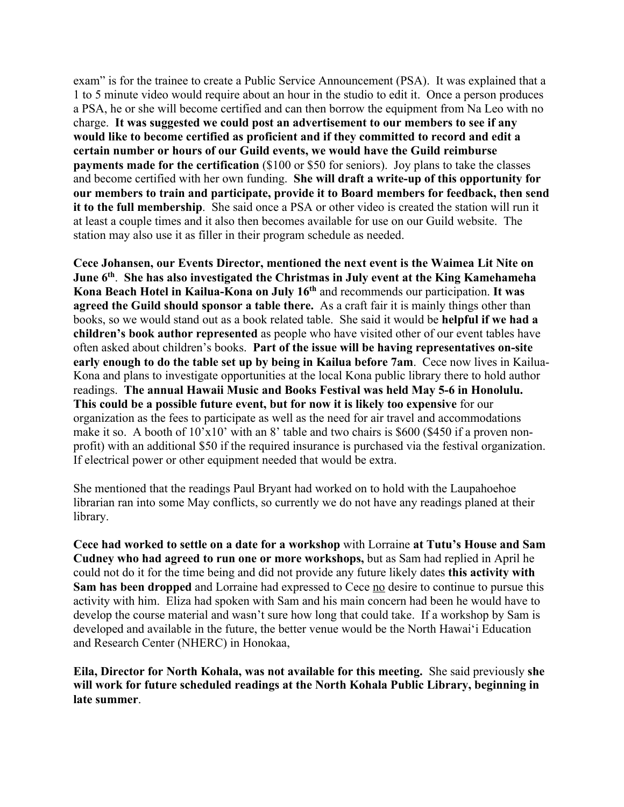exam" is for the trainee to create a Public Service Announcement (PSA). It was explained that a 1 to 5 minute video would require about an hour in the studio to edit it. Once a person produces a PSA, he or she will become certified and can then borrow the equipment from Na Leo with no charge. **It was suggested we could post an advertisement to our members to see if any would like to become certified as proficient and if they committed to record and edit a certain number or hours of our Guild events, we would have the Guild reimburse payments made for the certification** (\$100 or \$50 for seniors). Joy plans to take the classes and become certified with her own funding. **She will draft a write-up of this opportunity for our members to train and participate, provide it to Board members for feedback, then send it to the full membership**. She said once a PSA or other video is created the station will run it at least a couple times and it also then becomes available for use on our Guild website. The station may also use it as filler in their program schedule as needed.

**Cece Johansen, our Events Director, mentioned the next event is the Waimea Lit Nite on June 6th**. **She has also investigated the Christmas in July event at the King Kamehameha Kona Beach Hotel in Kailua-Kona on July 16th** and recommends our participation. **It was agreed the Guild should sponsor a table there.** As a craft fair it is mainly things other than books, so we would stand out as a book related table. She said it would be **helpful if we had a children's book author represented** as people who have visited other of our event tables have often asked about children's books. **Part of the issue will be having representatives on-site early enough to do the table set up by being in Kailua before 7am**. Cece now lives in Kailua-Kona and plans to investigate opportunities at the local Kona public library there to hold author readings. **The annual Hawaii Music and Books Festival was held May 5-6 in Honolulu. This could be a possible future event, but for now it is likely too expensive** for our organization as the fees to participate as well as the need for air travel and accommodations make it so. A booth of  $10'x10'$  with an 8' table and two chairs is \$600 (\$450 if a proven nonprofit) with an additional \$50 if the required insurance is purchased via the festival organization. If electrical power or other equipment needed that would be extra.

She mentioned that the readings Paul Bryant had worked on to hold with the Laupahoehoe librarian ran into some May conflicts, so currently we do not have any readings planed at their library.

**Cece had worked to settle on a date for a workshop** with Lorraine **at Tutu's House and Sam Cudney who had agreed to run one or more workshops,** but as Sam had replied in April he could not do it for the time being and did not provide any future likely dates **this activity with Sam has been dropped** and Lorraine had expressed to Cece no desire to continue to pursue this activity with him. Eliza had spoken with Sam and his main concern had been he would have to develop the course material and wasn't sure how long that could take. If a workshop by Sam is developed and available in the future, the better venue would be the North Hawaiʻi Education and Research Center (NHERC) in Honokaa,

**Eila, Director for North Kohala, was not available for this meeting.** She said previously **she will work for future scheduled readings at the North Kohala Public Library, beginning in late summer**.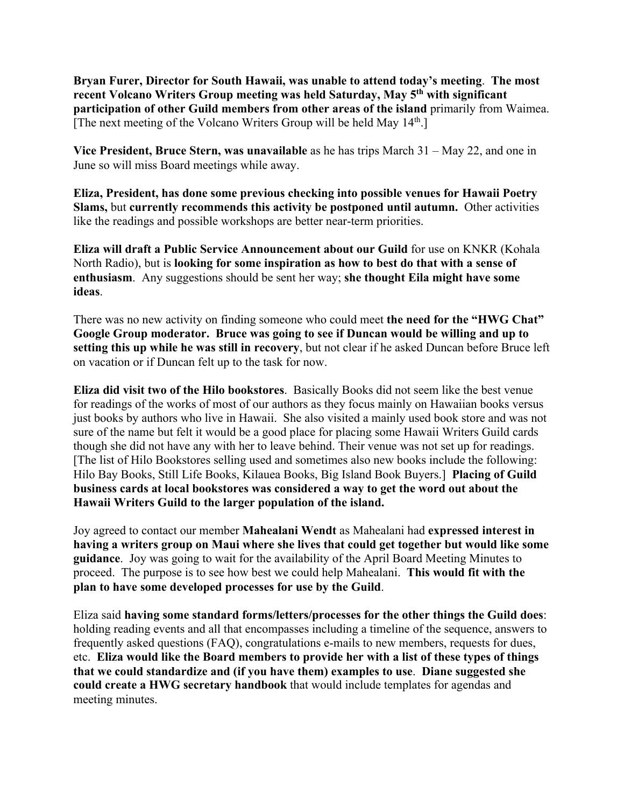**Bryan Furer, Director for South Hawaii, was unable to attend today's meeting**. **The most recent Volcano Writers Group meeting was held Saturday, May 5th with significant participation of other Guild members from other areas of the island** primarily from Waimea. [The next meeting of the Volcano Writers Group will be held May 14<sup>th</sup>.]

**Vice President, Bruce Stern, was unavailable** as he has trips March 31 – May 22, and one in June so will miss Board meetings while away.

**Eliza, President, has done some previous checking into possible venues for Hawaii Poetry Slams,** but **currently recommends this activity be postponed until autumn.** Other activities like the readings and possible workshops are better near-term priorities.

**Eliza will draft a Public Service Announcement about our Guild** for use on KNKR (Kohala North Radio), but is **looking for some inspiration as how to best do that with a sense of enthusiasm**. Any suggestions should be sent her way; **she thought Eila might have some ideas**.

There was no new activity on finding someone who could meet **the need for the "HWG Chat" Google Group moderator. Bruce was going to see if Duncan would be willing and up to setting this up while he was still in recovery**, but not clear if he asked Duncan before Bruce left on vacation or if Duncan felt up to the task for now.

**Eliza did visit two of the Hilo bookstores**. Basically Books did not seem like the best venue for readings of the works of most of our authors as they focus mainly on Hawaiian books versus just books by authors who live in Hawaii. She also visited a mainly used book store and was not sure of the name but felt it would be a good place for placing some Hawaii Writers Guild cards though she did not have any with her to leave behind. Their venue was not set up for readings. [The list of Hilo Bookstores selling used and sometimes also new books include the following: Hilo Bay Books, Still Life Books, Kilauea Books, Big Island Book Buyers.] **Placing of Guild business cards at local bookstores was considered a way to get the word out about the Hawaii Writers Guild to the larger population of the island.**

Joy agreed to contact our member **Mahealani Wendt** as Mahealani had **expressed interest in having a writers group on Maui where she lives that could get together but would like some guidance**. Joy was going to wait for the availability of the April Board Meeting Minutes to proceed. The purpose is to see how best we could help Mahealani. **This would fit with the plan to have some developed processes for use by the Guild**.

Eliza said **having some standard forms/letters/processes for the other things the Guild does**: holding reading events and all that encompasses including a timeline of the sequence, answers to frequently asked questions (FAQ), congratulations e-mails to new members, requests for dues, etc. **Eliza would like the Board members to provide her with a list of these types of things that we could standardize and (if you have them) examples to use**. **Diane suggested she could create a HWG secretary handbook** that would include templates for agendas and meeting minutes.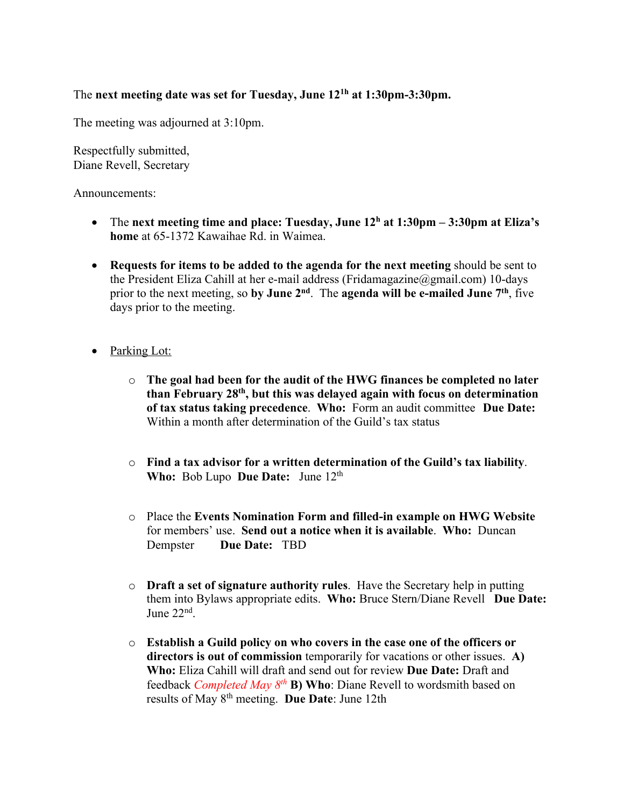## The **next meeting date was set for Tuesday, June 121h at 1:30pm-3:30pm.**

The meeting was adjourned at 3:10pm.

Respectfully submitted, Diane Revell, Secretary

Announcements:

- The **next meeting time and place: Tuesday, June 12h at 1:30pm – 3:30pm at Eliza's home** at 65-1372 Kawaihae Rd. in Waimea.
- **Requests for items to be added to the agenda for the next meeting** should be sent to the President Eliza Cahill at her e-mail address (Fridamagazine@gmail.com) 10-days prior to the next meeting, so **by June 2nd**. The **agenda will be e-mailed June 7th**, five days prior to the meeting.
- Parking Lot:
	- o **The goal had been for the audit of the HWG finances be completed no later than February 28th, but this was delayed again with focus on determination of tax status taking precedence**. **Who:** Form an audit committee **Due Date:** Within a month after determination of the Guild's tax status
	- o **Find a tax advisor for a written determination of the Guild's tax liability**. Who: Bob Lupo **Due Date:** June 12<sup>th</sup>
	- o Place the **Events Nomination Form and filled-in example on HWG Website** for members' use. **Send out a notice when it is available**. **Who:** Duncan Dempster **Due Date:** TBD
	- o **Draft a set of signature authority rules**. Have the Secretary help in putting them into Bylaws appropriate edits. **Who:** Bruce Stern/Diane Revell **Due Date:** June 22nd.
	- o **Establish a Guild policy on who covers in the case one of the officers or directors is out of commission** temporarily for vacations or other issues. **A) Who:** Eliza Cahill will draft and send out for review **Due Date:** Draft and feedback *Completed May 8th* **B) Who**: Diane Revell to wordsmith based on results of May 8th meeting. **Due Date**: June 12th